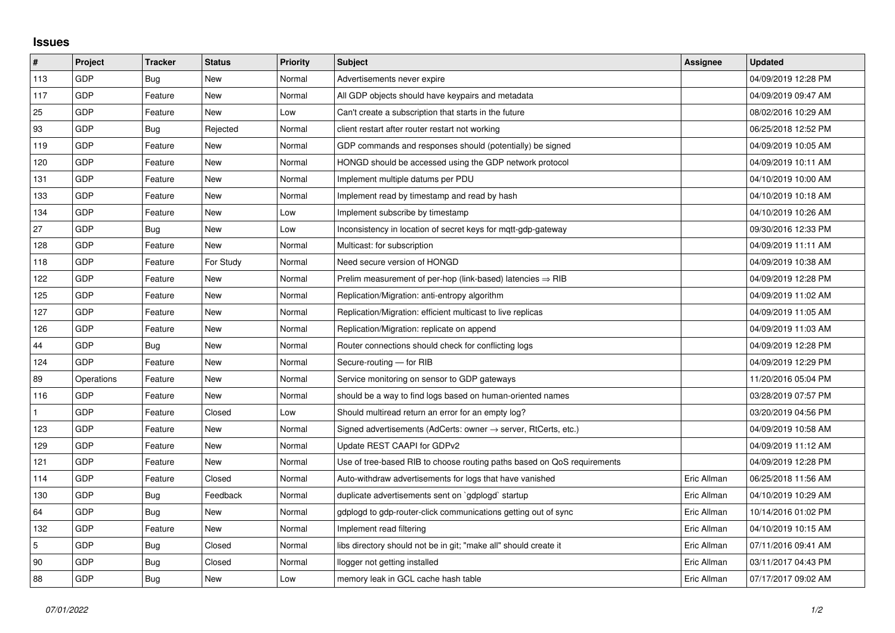## **Issues**

| #   | Project    | <b>Tracker</b> | <b>Status</b> | <b>Priority</b> | <b>Subject</b>                                                             | Assignee    | <b>Updated</b>      |
|-----|------------|----------------|---------------|-----------------|----------------------------------------------------------------------------|-------------|---------------------|
| 113 | GDP        | Bug            | <b>New</b>    | Normal          | Advertisements never expire                                                |             | 04/09/2019 12:28 PM |
| 117 | GDP        | Feature        | New           | Normal          | All GDP objects should have keypairs and metadata                          |             | 04/09/2019 09:47 AM |
| 25  | GDP        | Feature        | New           | Low             | Can't create a subscription that starts in the future                      |             | 08/02/2016 10:29 AM |
| 93  | GDP        | Bug            | Rejected      | Normal          | client restart after router restart not working                            |             | 06/25/2018 12:52 PM |
| 119 | GDP        | Feature        | New           | Normal          | GDP commands and responses should (potentially) be signed                  |             | 04/09/2019 10:05 AM |
| 120 | GDP        | Feature        | New           | Normal          | HONGD should be accessed using the GDP network protocol                    |             | 04/09/2019 10:11 AM |
| 131 | GDP        | Feature        | <b>New</b>    | Normal          | Implement multiple datums per PDU                                          |             | 04/10/2019 10:00 AM |
| 133 | GDP        | Feature        | New           | Normal          | Implement read by timestamp and read by hash                               |             | 04/10/2019 10:18 AM |
| 134 | GDP        | Feature        | New           | Low             | Implement subscribe by timestamp                                           |             | 04/10/2019 10:26 AM |
| 27  | GDP        | <b>Bug</b>     | <b>New</b>    | Low             | Inconsistency in location of secret keys for mqtt-gdp-gateway              |             | 09/30/2016 12:33 PM |
| 128 | GDP        | Feature        | New           | Normal          | Multicast: for subscription                                                |             | 04/09/2019 11:11 AM |
| 118 | GDP        | Feature        | For Study     | Normal          | Need secure version of HONGD                                               |             | 04/09/2019 10:38 AM |
| 122 | GDP        | Feature        | New           | Normal          | Prelim measurement of per-hop (link-based) latencies $\Rightarrow$ RIB     |             | 04/09/2019 12:28 PM |
| 125 | GDP        | Feature        | New           | Normal          | Replication/Migration: anti-entropy algorithm                              |             | 04/09/2019 11:02 AM |
| 127 | GDP        | Feature        | <b>New</b>    | Normal          | Replication/Migration: efficient multicast to live replicas                |             | 04/09/2019 11:05 AM |
| 126 | GDP        | Feature        | New           | Normal          | Replication/Migration: replicate on append                                 |             | 04/09/2019 11:03 AM |
| 44  | GDP        | Bug            | New           | Normal          | Router connections should check for conflicting logs                       |             | 04/09/2019 12:28 PM |
| 124 | GDP        | Feature        | New           | Normal          | Secure-routing - for RIB                                                   |             | 04/09/2019 12:29 PM |
| 89  | Operations | Feature        | New           | Normal          | Service monitoring on sensor to GDP gateways                               |             | 11/20/2016 05:04 PM |
| 116 | GDP        | Feature        | New           | Normal          | should be a way to find logs based on human-oriented names                 |             | 03/28/2019 07:57 PM |
|     | GDP        | Feature        | Closed        | Low             | Should multiread return an error for an empty log?                         |             | 03/20/2019 04:56 PM |
| 123 | GDP        | Feature        | New           | Normal          | Signed advertisements (AdCerts: owner $\rightarrow$ server, RtCerts, etc.) |             | 04/09/2019 10:58 AM |
| 129 | GDP        | Feature        | New           | Normal          | Update REST CAAPI for GDPv2                                                |             | 04/09/2019 11:12 AM |
| 121 | GDP        | Feature        | New           | Normal          | Use of tree-based RIB to choose routing paths based on QoS requirements    |             | 04/09/2019 12:28 PM |
| 114 | <b>GDP</b> | Feature        | Closed        | Normal          | Auto-withdraw advertisements for logs that have vanished                   | Eric Allman | 06/25/2018 11:56 AM |
| 130 | GDP        | Bug            | Feedback      | Normal          | duplicate advertisements sent on `gdplogd` startup                         | Eric Allman | 04/10/2019 10:29 AM |
| 64  | GDP        | <b>Bug</b>     | New           | Normal          | gdplogd to gdp-router-click communications getting out of sync             | Eric Allman | 10/14/2016 01:02 PM |
| 132 | <b>GDP</b> | Feature        | <b>New</b>    | Normal          | Implement read filtering                                                   | Eric Allman | 04/10/2019 10:15 AM |
| 5   | GDP        | Bug            | Closed        | Normal          | libs directory should not be in git; "make all" should create it           | Eric Allman | 07/11/2016 09:41 AM |
| 90  | GDP        | Bug            | Closed        | Normal          | llogger not getting installed                                              | Eric Allman | 03/11/2017 04:43 PM |
| 88  | GDP        | <b>Bug</b>     | <b>New</b>    | Low             | memory leak in GCL cache hash table                                        | Eric Allman | 07/17/2017 09:02 AM |